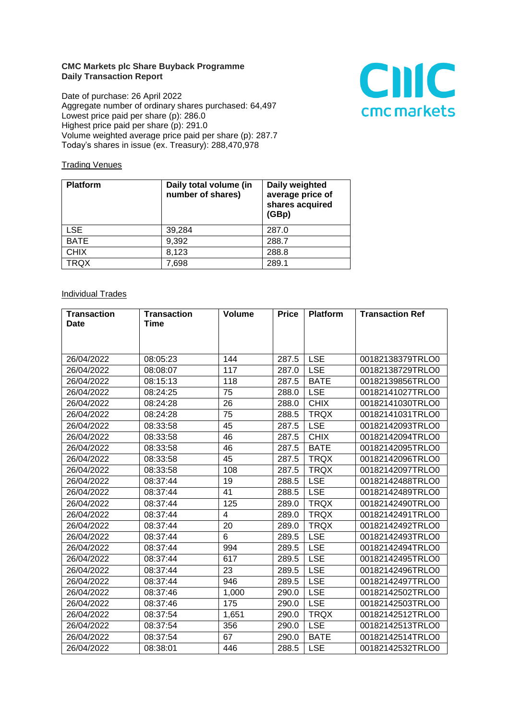## **CMC Markets plc Share Buyback Programme Daily Transaction Report**

Date of purchase: 26 April 2022 Aggregate number of ordinary shares purchased: 64,497 Lowest price paid per share (p): 286.0 Highest price paid per share (p): 291.0 Volume weighted average price paid per share (p): 287.7 Today's shares in issue (ex. Treasury): 288,470,978



## **Trading Venues**

| <b>Platform</b> | Daily total volume (in<br>number of shares) | Daily weighted<br>average price of<br>shares acquired<br>(GBp) |
|-----------------|---------------------------------------------|----------------------------------------------------------------|
| <b>LSE</b>      | 39,284                                      | 287.0                                                          |
| <b>BATE</b>     | 9,392                                       | 288.7                                                          |
| <b>CHIX</b>     | 8,123                                       | 288.8                                                          |
| <b>TRQX</b>     | 7,698                                       | 289.1                                                          |

## **Individual Trades**

| <b>Transaction</b> | <b>Transaction</b> | <b>Volume</b> | <b>Price</b> | <b>Platform</b> | <b>Transaction Ref</b> |
|--------------------|--------------------|---------------|--------------|-----------------|------------------------|
| Date               | Time               |               |              |                 |                        |
|                    |                    |               |              |                 |                        |
|                    |                    |               |              |                 |                        |
| 26/04/2022         | 08:05:23           | 144           | 287.5        | <b>LSE</b>      | 00182138379TRLO0       |
| 26/04/2022         | 08:08:07           | 117           | 287.0        | <b>LSE</b>      | 00182138729TRLO0       |
| 26/04/2022         | 08:15:13           | 118           | 287.5        | <b>BATE</b>     | 00182139856TRLO0       |
| 26/04/2022         | 08:24:25           | 75            | 288.0        | <b>LSE</b>      | 00182141027TRLO0       |
| 26/04/2022         | 08:24:28           | 26            | 288.0        | <b>CHIX</b>     | 00182141030TRLO0       |
| 26/04/2022         | 08:24:28           | 75            | 288.5        | <b>TRQX</b>     | 00182141031TRLO0       |
| 26/04/2022         | 08:33:58           | 45            | 287.5        | <b>LSE</b>      | 00182142093TRLO0       |
| 26/04/2022         | 08:33:58           | 46            | 287.5        | <b>CHIX</b>     | 00182142094TRLO0       |
| 26/04/2022         | 08:33:58           | 46            | 287.5        | <b>BATE</b>     | 00182142095TRLO0       |
| 26/04/2022         | 08:33:58           | 45            | 287.5        | <b>TRQX</b>     | 00182142096TRLO0       |
| 26/04/2022         | 08:33:58           | 108           | 287.5        | <b>TRQX</b>     | 00182142097TRLO0       |
| 26/04/2022         | 08:37:44           | 19            | 288.5        | <b>LSE</b>      | 00182142488TRLO0       |
| 26/04/2022         | 08:37:44           | 41            | 288.5        | <b>LSE</b>      | 00182142489TRLO0       |
| 26/04/2022         | 08:37:44           | 125           | 289.0        | <b>TRQX</b>     | 00182142490TRLO0       |
| 26/04/2022         | 08:37:44           | 4             | 289.0        | <b>TRQX</b>     | 00182142491TRLO0       |
| 26/04/2022         | 08:37:44           | 20            | 289.0        | <b>TRQX</b>     | 00182142492TRLO0       |
| 26/04/2022         | 08:37:44           | 6             | 289.5        | <b>LSE</b>      | 00182142493TRLO0       |
| 26/04/2022         | 08:37:44           | 994           | 289.5        | <b>LSE</b>      | 00182142494TRLO0       |
| 26/04/2022         | 08:37:44           | 617           | 289.5        | <b>LSE</b>      | 00182142495TRLO0       |
| 26/04/2022         | 08:37:44           | 23            | 289.5        | <b>LSE</b>      | 00182142496TRLO0       |
| 26/04/2022         | 08:37:44           | 946           | 289.5        | <b>LSE</b>      | 00182142497TRLO0       |
| 26/04/2022         | 08:37:46           | 1,000         | 290.0        | <b>LSE</b>      | 00182142502TRLO0       |
| 26/04/2022         | 08:37:46           | 175           | 290.0        | <b>LSE</b>      | 00182142503TRLO0       |
| 26/04/2022         | 08:37:54           | 1,651         | 290.0        | <b>TRQX</b>     | 00182142512TRLO0       |
| 26/04/2022         | 08:37:54           | 356           | 290.0        | <b>LSE</b>      | 00182142513TRLO0       |
| 26/04/2022         | 08:37:54           | 67            | 290.0        | <b>BATE</b>     | 00182142514TRLO0       |
| 26/04/2022         | 08:38:01           | 446           | 288.5        | <b>LSE</b>      | 00182142532TRLO0       |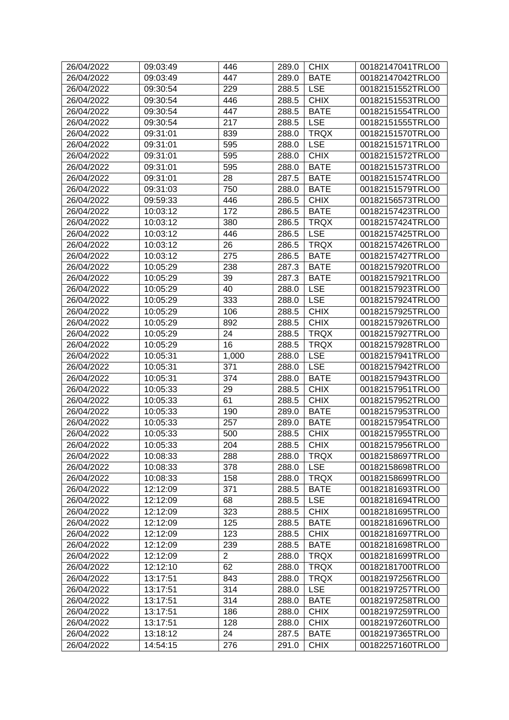| 26/04/2022 | 09:03:49 | 446            | 289.0 | <b>CHIX</b> | 00182147041TRLO0 |
|------------|----------|----------------|-------|-------------|------------------|
| 26/04/2022 | 09:03:49 | 447            | 289.0 | <b>BATE</b> | 00182147042TRLO0 |
| 26/04/2022 | 09:30:54 | 229            | 288.5 | <b>LSE</b>  | 00182151552TRLO0 |
| 26/04/2022 | 09:30:54 | 446            | 288.5 | <b>CHIX</b> | 00182151553TRLO0 |
| 26/04/2022 | 09:30:54 | 447            | 288.5 | <b>BATE</b> | 00182151554TRLO0 |
| 26/04/2022 | 09:30:54 | 217            | 288.5 | <b>LSE</b>  | 00182151555TRLO0 |
| 26/04/2022 | 09:31:01 | 839            | 288.0 | <b>TRQX</b> | 00182151570TRLO0 |
| 26/04/2022 | 09:31:01 | 595            | 288.0 | <b>LSE</b>  | 00182151571TRLO0 |
| 26/04/2022 | 09:31:01 | 595            | 288.0 | <b>CHIX</b> | 00182151572TRLO0 |
| 26/04/2022 | 09:31:01 | 595            | 288.0 | <b>BATE</b> | 00182151573TRLO0 |
| 26/04/2022 | 09:31:01 | 28             | 287.5 | <b>BATE</b> | 00182151574TRLO0 |
| 26/04/2022 | 09:31:03 | 750            | 288.0 | <b>BATE</b> | 00182151579TRLO0 |
| 26/04/2022 | 09:59:33 | 446            | 286.5 | <b>CHIX</b> | 00182156573TRLO0 |
| 26/04/2022 | 10:03:12 | 172            | 286.5 | <b>BATE</b> | 00182157423TRLO0 |
| 26/04/2022 | 10:03:12 | 380            | 286.5 | <b>TRQX</b> | 00182157424TRLO0 |
| 26/04/2022 | 10:03:12 | 446            | 286.5 | <b>LSE</b>  | 00182157425TRLO0 |
| 26/04/2022 | 10:03:12 | 26             | 286.5 | <b>TRQX</b> | 00182157426TRLO0 |
| 26/04/2022 | 10:03:12 | 275            | 286.5 | <b>BATE</b> | 00182157427TRLO0 |
| 26/04/2022 | 10:05:29 | 238            | 287.3 | <b>BATE</b> | 00182157920TRLO0 |
| 26/04/2022 | 10:05:29 | 39             | 287.3 | <b>BATE</b> | 00182157921TRLO0 |
| 26/04/2022 | 10:05:29 | 40             | 288.0 | <b>LSE</b>  | 00182157923TRLO0 |
| 26/04/2022 | 10:05:29 | 333            | 288.0 | <b>LSE</b>  | 00182157924TRLO0 |
|            |          |                |       | <b>CHIX</b> |                  |
| 26/04/2022 | 10:05:29 | 106            | 288.5 |             | 00182157925TRLO0 |
| 26/04/2022 | 10:05:29 | 892            | 288.5 | <b>CHIX</b> | 00182157926TRLO0 |
| 26/04/2022 | 10:05:29 | 24             | 288.5 | <b>TRQX</b> | 00182157927TRLO0 |
| 26/04/2022 | 10:05:29 | 16             | 288.5 | <b>TRQX</b> | 00182157928TRLO0 |
| 26/04/2022 | 10:05:31 | 1,000          | 288.0 | <b>LSE</b>  | 00182157941TRLO0 |
| 26/04/2022 | 10:05:31 | 371            | 288.0 | <b>LSE</b>  | 00182157942TRLO0 |
| 26/04/2022 | 10:05:31 | 374            | 288.0 | <b>BATE</b> | 00182157943TRLO0 |
| 26/04/2022 | 10:05:33 | 29             | 288.5 | <b>CHIX</b> | 00182157951TRLO0 |
| 26/04/2022 | 10:05:33 | 61             | 288.5 | <b>CHIX</b> | 00182157952TRLO0 |
| 26/04/2022 | 10:05:33 | 190            | 289.0 | <b>BATE</b> | 00182157953TRLO0 |
| 26/04/2022 | 10:05:33 | 257            | 289.0 | <b>BATE</b> | 00182157954TRLO0 |
| 26/04/2022 | 10:05:33 | 500            | 288.5 | <b>CHIX</b> | 00182157955TRLO0 |
| 26/04/2022 | 10:05:33 | 204            | 288.5 | <b>CHIX</b> | 00182157956TRLO0 |
| 26/04/2022 | 10:08:33 | 288            | 288.0 | <b>TRQX</b> | 00182158697TRLO0 |
| 26/04/2022 | 10:08:33 | 378            | 288.0 | <b>LSE</b>  | 00182158698TRLO0 |
| 26/04/2022 | 10:08:33 | 158            | 288.0 | <b>TRQX</b> | 00182158699TRLO0 |
| 26/04/2022 | 12:12:09 | 371            | 288.5 | <b>BATE</b> | 00182181693TRLO0 |
| 26/04/2022 | 12:12:09 | 68             | 288.5 | <b>LSE</b>  | 00182181694TRLO0 |
| 26/04/2022 | 12:12:09 | 323            | 288.5 | <b>CHIX</b> | 00182181695TRLO0 |
| 26/04/2022 | 12:12:09 | 125            | 288.5 | <b>BATE</b> | 00182181696TRLO0 |
| 26/04/2022 | 12:12:09 | 123            | 288.5 | <b>CHIX</b> | 00182181697TRLO0 |
| 26/04/2022 | 12:12:09 | 239            | 288.5 | <b>BATE</b> | 00182181698TRLO0 |
| 26/04/2022 | 12:12:09 | $\overline{2}$ | 288.0 | <b>TRQX</b> | 00182181699TRLO0 |
| 26/04/2022 | 12:12:10 | 62             | 288.0 | <b>TRQX</b> | 00182181700TRLO0 |
| 26/04/2022 | 13:17:51 | 843            | 288.0 | <b>TRQX</b> | 00182197256TRLO0 |
| 26/04/2022 | 13:17:51 | 314            | 288.0 | <b>LSE</b>  | 00182197257TRLO0 |
| 26/04/2022 | 13:17:51 | 314            | 288.0 | <b>BATE</b> | 00182197258TRLO0 |
| 26/04/2022 | 13:17:51 | 186            | 288.0 | <b>CHIX</b> | 00182197259TRLO0 |
| 26/04/2022 | 13:17:51 | 128            | 288.0 | <b>CHIX</b> | 00182197260TRLO0 |
| 26/04/2022 | 13:18:12 | 24             | 287.5 | <b>BATE</b> | 00182197365TRLO0 |
| 26/04/2022 | 14:54:15 | 276            | 291.0 | <b>CHIX</b> | 00182257160TRLO0 |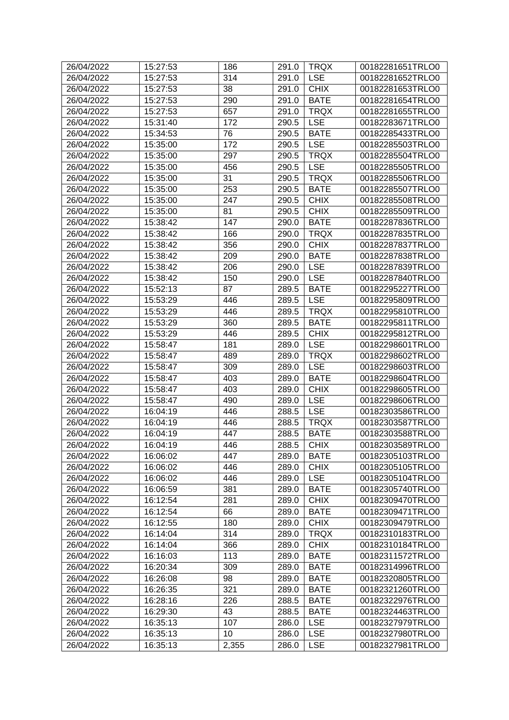| 26/04/2022 | 15:27:53 | 186   | 291.0 | <b>TRQX</b> | 00182281651TRLO0 |
|------------|----------|-------|-------|-------------|------------------|
| 26/04/2022 | 15:27:53 | 314   | 291.0 | <b>LSE</b>  | 00182281652TRLO0 |
| 26/04/2022 | 15:27:53 | 38    | 291.0 | <b>CHIX</b> | 00182281653TRLO0 |
| 26/04/2022 | 15:27:53 | 290   | 291.0 | <b>BATE</b> | 00182281654TRLO0 |
| 26/04/2022 | 15:27:53 | 657   | 291.0 | <b>TRQX</b> | 00182281655TRLO0 |
| 26/04/2022 | 15:31:40 | 172   | 290.5 | <b>LSE</b>  | 00182283671TRLO0 |
| 26/04/2022 | 15:34:53 | 76    | 290.5 | <b>BATE</b> | 00182285433TRLO0 |
| 26/04/2022 | 15:35:00 | 172   | 290.5 | <b>LSE</b>  | 00182285503TRLO0 |
| 26/04/2022 | 15:35:00 | 297   | 290.5 | <b>TRQX</b> | 00182285504TRLO0 |
| 26/04/2022 | 15:35:00 | 456   | 290.5 | <b>LSE</b>  | 00182285505TRLO0 |
| 26/04/2022 | 15:35:00 | 31    | 290.5 | <b>TRQX</b> | 00182285506TRLO0 |
| 26/04/2022 | 15:35:00 | 253   | 290.5 | <b>BATE</b> | 00182285507TRLO0 |
| 26/04/2022 | 15:35:00 | 247   | 290.5 | <b>CHIX</b> | 00182285508TRLO0 |
| 26/04/2022 | 15:35:00 | 81    | 290.5 | <b>CHIX</b> | 00182285509TRLO0 |
| 26/04/2022 | 15:38:42 | 147   | 290.0 | <b>BATE</b> | 00182287836TRLO0 |
| 26/04/2022 | 15:38:42 | 166   | 290.0 | <b>TRQX</b> | 00182287835TRLO0 |
| 26/04/2022 | 15:38:42 | 356   | 290.0 | <b>CHIX</b> | 00182287837TRLO0 |
| 26/04/2022 | 15:38:42 | 209   | 290.0 | <b>BATE</b> | 00182287838TRLO0 |
| 26/04/2022 | 15:38:42 | 206   | 290.0 | <b>LSE</b>  | 00182287839TRLO0 |
| 26/04/2022 | 15:38:42 | 150   | 290.0 | <b>LSE</b>  | 00182287840TRLO0 |
| 26/04/2022 | 15:52:13 | 87    | 289.5 | <b>BATE</b> | 00182295227TRLO0 |
| 26/04/2022 | 15:53:29 | 446   | 289.5 | <b>LSE</b>  | 00182295809TRLO0 |
| 26/04/2022 | 15:53:29 | 446   | 289.5 | <b>TRQX</b> | 00182295810TRLO0 |
| 26/04/2022 | 15:53:29 | 360   | 289.5 | <b>BATE</b> | 00182295811TRLO0 |
| 26/04/2022 | 15:53:29 | 446   | 289.5 | <b>CHIX</b> | 00182295812TRLO0 |
| 26/04/2022 | 15:58:47 | 181   | 289.0 | <b>LSE</b>  | 00182298601TRLO0 |
| 26/04/2022 | 15:58:47 | 489   | 289.0 | <b>TRQX</b> | 00182298602TRLO0 |
| 26/04/2022 | 15:58:47 | 309   | 289.0 | <b>LSE</b>  | 00182298603TRLO0 |
| 26/04/2022 | 15:58:47 | 403   | 289.0 | <b>BATE</b> | 00182298604TRLO0 |
| 26/04/2022 | 15:58:47 | 403   | 289.0 | <b>CHIX</b> | 00182298605TRLO0 |
| 26/04/2022 | 15:58:47 | 490   | 289.0 | <b>LSE</b>  | 00182298606TRLO0 |
| 26/04/2022 | 16:04:19 | 446   | 288.5 | <b>LSE</b>  | 00182303586TRLO0 |
| 26/04/2022 | 16:04:19 | 446   | 288.5 | <b>TRQX</b> | 00182303587TRLO0 |
| 26/04/2022 | 16:04:19 | 447   | 288.5 | <b>BATE</b> | 00182303588TRLO0 |
| 26/04/2022 | 16:04:19 | 446   | 288.5 | <b>CHIX</b> | 00182303589TRLO0 |
| 26/04/2022 | 16:06:02 | 447   | 289.0 | <b>BATE</b> | 00182305103TRLO0 |
| 26/04/2022 | 16:06:02 | 446   | 289.0 | <b>CHIX</b> | 00182305105TRLO0 |
| 26/04/2022 | 16:06:02 | 446   | 289.0 | <b>LSE</b>  | 00182305104TRLO0 |
| 26/04/2022 | 16:06:59 | 381   | 289.0 | <b>BATE</b> | 00182305740TRLO0 |
| 26/04/2022 | 16:12:54 | 281   | 289.0 | <b>CHIX</b> | 00182309470TRLO0 |
| 26/04/2022 | 16:12:54 | 66    | 289.0 | <b>BATE</b> | 00182309471TRLO0 |
| 26/04/2022 | 16:12:55 | 180   | 289.0 | <b>CHIX</b> | 00182309479TRLO0 |
| 26/04/2022 | 16:14:04 | 314   | 289.0 | <b>TRQX</b> | 00182310183TRLO0 |
| 26/04/2022 | 16:14:04 | 366   | 289.0 | <b>CHIX</b> | 00182310184TRLO0 |
| 26/04/2022 | 16:16:03 | 113   | 289.0 | <b>BATE</b> | 00182311572TRLO0 |
| 26/04/2022 | 16:20:34 | 309   | 289.0 | <b>BATE</b> | 00182314996TRLO0 |
| 26/04/2022 | 16:26:08 | 98    | 289.0 | <b>BATE</b> | 00182320805TRLO0 |
| 26/04/2022 | 16:26:35 | 321   | 289.0 | <b>BATE</b> | 00182321260TRLO0 |
| 26/04/2022 | 16:28:16 | 226   | 288.5 | <b>BATE</b> | 00182322976TRLO0 |
| 26/04/2022 | 16:29:30 | 43    | 288.5 | <b>BATE</b> | 00182324463TRLO0 |
| 26/04/2022 | 16:35:13 | 107   | 286.0 | <b>LSE</b>  | 00182327979TRLO0 |
| 26/04/2022 | 16:35:13 | 10    | 286.0 | <b>LSE</b>  | 00182327980TRLO0 |
| 26/04/2022 | 16:35:13 | 2,355 | 286.0 | <b>LSE</b>  | 00182327981TRLO0 |